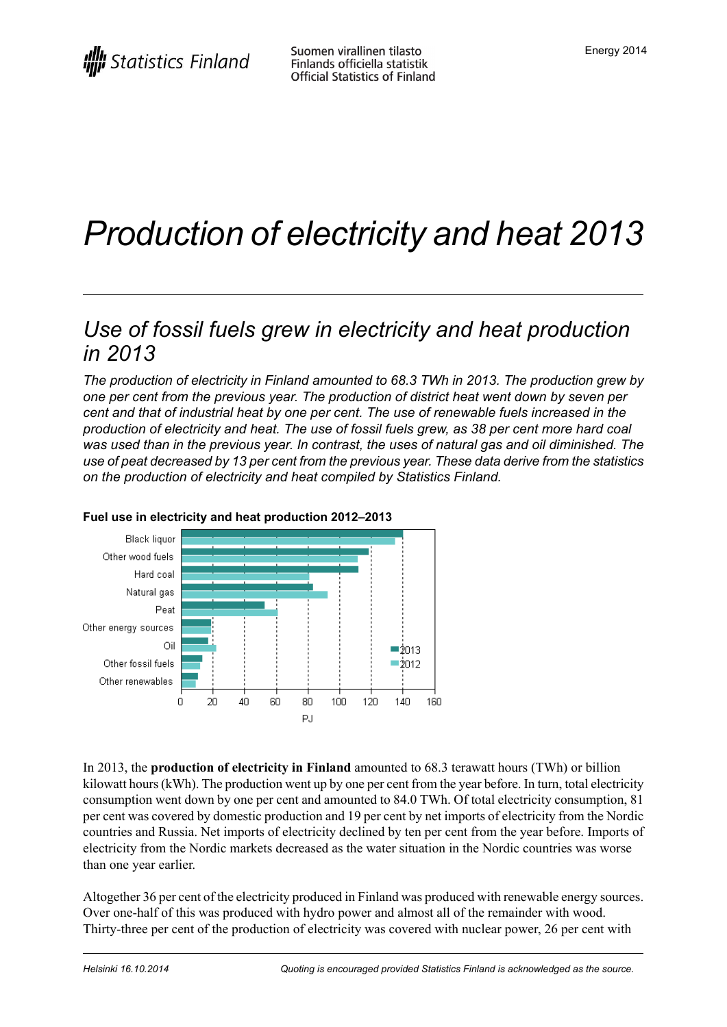# *Production of electricity and heat 2013*

### *Use of fossil fuels grew in electricity and heat production in 2013*

*The production of electricity in Finland amounted to 68.3 TWh in 2013. The production grew by one per cent from the previous year. The production of district heat went down by seven per cent and that of industrial heat by one per cent. The use of renewable fuels increased in the production of electricity and heat. The use of fossil fuels grew, as 38 per cent more hard coal was used than in the previous year. In contrast, the uses of natural gas and oil diminished. The use of peat decreased by 13 per cent from the previous year. These data derive from the statistics on the production of electricity and heat compiled by Statistics Finland.*



#### **Fuel use in electricity and heat production 2012–2013**

In 2013, the **production of electricity in Finland** amounted to 68.3 terawatt hours (TWh) or billion kilowatt hours (kWh). The production went up by one per cent from the year before. In turn, total electricity consumption went down by one per cent and amounted to 84.0 TWh. Of total electricity consumption, 81 per cent was covered by domestic production and 19 per cent by net imports of electricity from the Nordic countries and Russia. Net imports of electricity declined by ten per cent from the year before. Imports of electricity from the Nordic markets decreased as the water situation in the Nordic countries was worse than one year earlier.

Altogether 36 per cent of the electricity produced in Finland was produced with renewable energy sources. Over one-half of this was produced with hydro power and almost all of the remainder with wood. Thirty-three per cent of the production of electricity was covered with nuclear power, 26 per cent with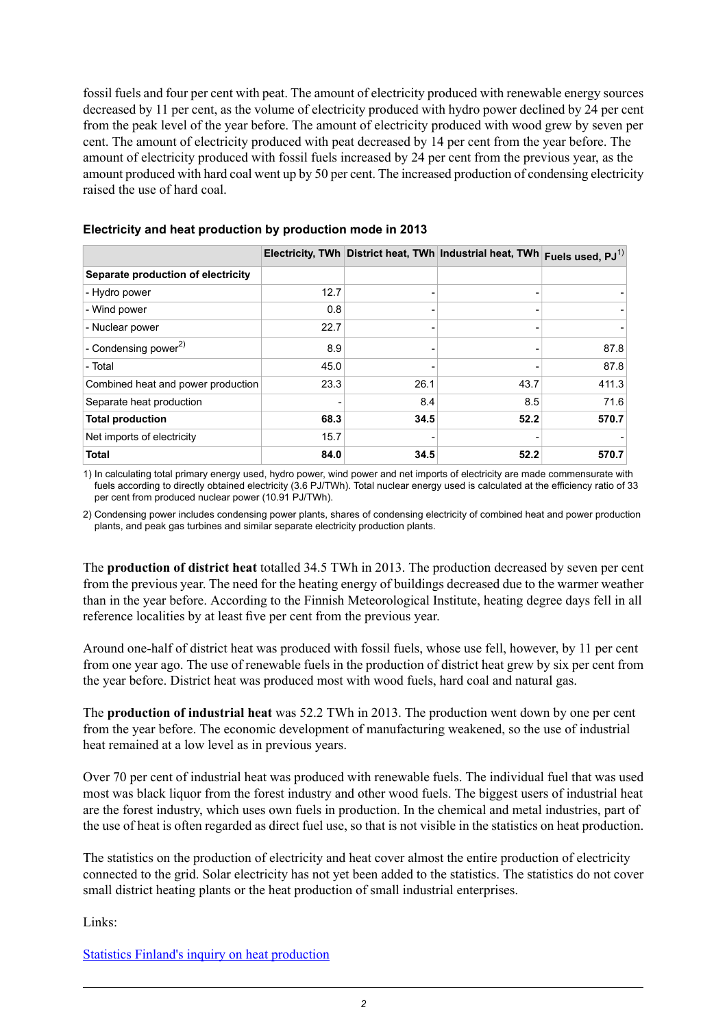fossil fuels and four per cent with peat. The amount of electricity produced with renewable energy sources decreased by 11 per cent, as the volume of electricity produced with hydro power declined by 24 per cent from the peak level of the year before. The amount of electricity produced with wood grew by seven per cent. The amount of electricity produced with peat decreased by 14 per cent from the year before. The amount of electricity produced with fossil fuels increased by 24 per cent from the previous year, as the amount produced with hard coal went up by 50 per cent. The increased production of condensing electricity raised the use of hard coal.

|                                    |      |      | Electricity, TWh District heat, TWh Industrial heat, TWh | Fuels used, $PJ^{(1)}$ |
|------------------------------------|------|------|----------------------------------------------------------|------------------------|
| Separate production of electricity |      |      |                                                          |                        |
| - Hydro power                      | 12.7 |      |                                                          |                        |
| - Wind power                       | 0.8  |      |                                                          |                        |
| - Nuclear power                    | 22.7 |      |                                                          |                        |
| - Condensing power <sup>2)</sup>   | 8.9  |      |                                                          | 87.8                   |
| - Total                            | 45.0 |      |                                                          | 87.8                   |
| Combined heat and power production | 23.3 | 26.1 | 43.7                                                     | 411.3                  |
| Separate heat production           |      | 8.4  | 8.5                                                      | 71.6                   |
| <b>Total production</b>            | 68.3 | 34.5 | 52.2                                                     | 570.7                  |
| Net imports of electricity         | 15.7 |      |                                                          |                        |
| <b>Total</b>                       | 84.0 | 34.5 | 52.2                                                     | 570.7                  |

#### **Electricity and heat production by production mode in 2013**

1) In calculating total primary energy used, hydro power, wind power and net imports of electricity are made commensurate with fuels according to directly obtained electricity (3.6 PJ/TWh). Total nuclear energy used is calculated at the efficiency ratio of 33 per cent from produced nuclear power (10.91 PJ/TWh).

2) Condensing power includes condensing power plants, shares of condensing electricity of combined heat and power production plants, and peak gas turbines and similar separate electricity production plants.

The **production of district heat** totalled 34.5 TWh in 2013. The production decreased by seven per cent from the previous year. The need for the heating energy of buildings decreased due to the warmer weather than in the year before. According to the Finnish Meteorological Institute, heating degree days fell in all reference localities by at least five per cent from the previous year.

Around one-half of district heat was produced with fossil fuels, whose use fell, however, by 11 per cent from one year ago. The use of renewable fuels in the production of district heat grew by six per cent from the year before. District heat was produced most with wood fuels, hard coal and natural gas.

The **production of industrial heat** was 52.2 TWh in 2013. The production went down by one per cent from the year before. The economic development of manufacturing weakened, so the use of industrial heat remained at a low level as in previous years.

Over 70 per cent of industrial heat was produced with renewable fuels. The individual fuel that was used most was black liquor from the forest industry and other wood fuels. The biggest users of industrial heat are the forest industry, which uses own fuels in production. In the chemical and metal industries, part of the use of heat is often regarded as direct fuel use, so that is not visible in the statistics on heat production.

The statistics on the production of electricity and heat cover almost the entire production of electricity connected to the grid. Solar electricity has not yet been added to the statistics. The statistics do not cover small district heating plants or the heat production of small industrial enterprises.

Links:

Statistics Finland's inquiry on heat [production](http://tilastokeskus.fi/keruu/ene/index_en.html)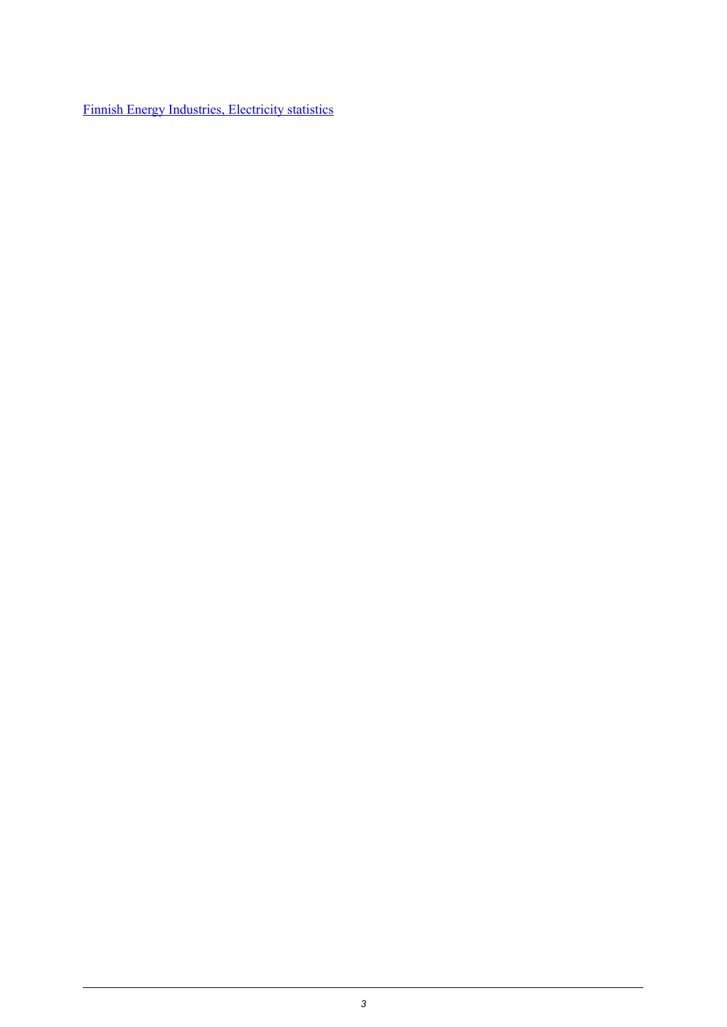Finnish Energy [Industries,](http://www.energia.fi/en/statistics-and-publications/electricity-statistics) Electricity statistics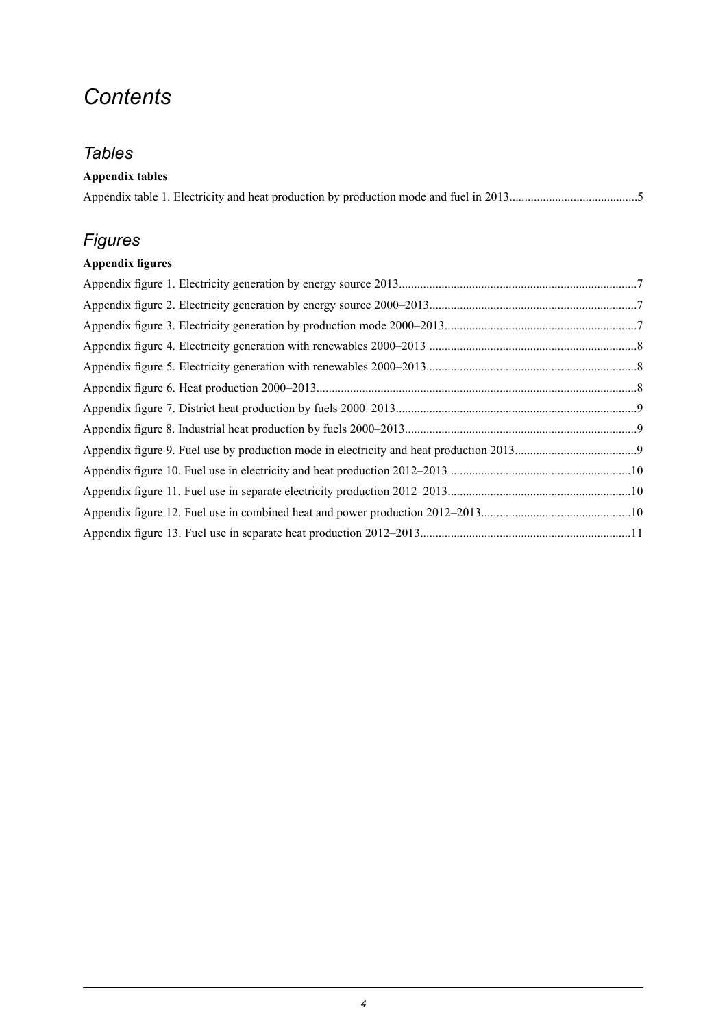## *Contents*

### *Tables*

| <b>Appendix tables</b> |
|------------------------|
|                        |

### *Figures*

### **Appendix figures**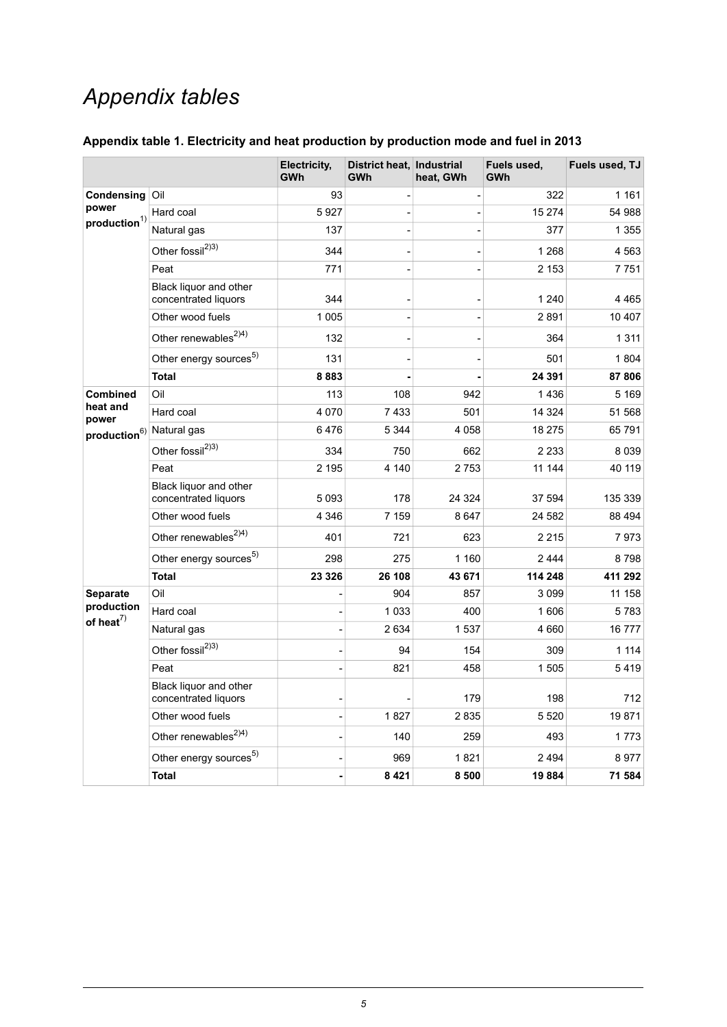## *Appendix tables*

<span id="page-4-0"></span>

| Appendix table 1. Electricity and heat production by production mode and fuel in 2013 |  |  |  |  |
|---------------------------------------------------------------------------------------|--|--|--|--|
|---------------------------------------------------------------------------------------|--|--|--|--|

|                                                                              |                                                | Electricity,<br><b>GWh</b> | District heat, Industrial<br><b>GWh</b> | heat, GWh | Fuels used,<br>GWh | Fuels used, TJ |
|------------------------------------------------------------------------------|------------------------------------------------|----------------------------|-----------------------------------------|-----------|--------------------|----------------|
| Condensing<br>power<br>$\boldsymbol{production}^{1)}$                        | Oil                                            | 93                         |                                         | ÷         | 322                | 1 1 6 1        |
|                                                                              | Hard coal                                      | 5927                       |                                         |           | 15 274             | 54 988         |
|                                                                              | Natural gas                                    | 137                        |                                         |           | 377                | 1 3 5 5        |
|                                                                              | Other fossil <sup>2)3)</sup>                   | 344                        |                                         |           | 1 2 6 8            | 4563           |
|                                                                              | Peat                                           | 771                        |                                         |           | 2 1 5 3            | 7751           |
|                                                                              | Black liquor and other<br>concentrated liquors | 344                        |                                         |           | 1 2 4 0            | 4465           |
|                                                                              | Other wood fuels                               | 1 0 0 5                    |                                         |           | 2891               | 10 407         |
|                                                                              | Other renewables <sup>2)4)</sup>               | 132                        |                                         |           | 364                | 1 3 1 1        |
|                                                                              | Other energy sources <sup>5)</sup>             | 131                        |                                         |           | 501                | 1804           |
|                                                                              | <b>Total</b>                                   | 8883                       |                                         |           | 24 391             | 87806          |
| <b>Combined</b><br>heat and<br>power<br>production <sup>6)</sup> Natural gas | Oil                                            | 113                        | 108                                     | 942       | 1436               | 5 1 6 9        |
|                                                                              | Hard coal                                      | 4 0 7 0                    | 7 4 3 3                                 | 501       | 14 3 24            | 51 568         |
|                                                                              |                                                | 6476                       | 5 3 4 4                                 | 4 0 5 8   | 18 275             | 65791          |
|                                                                              | Other fossil <sup>2)3)</sup>                   | 334                        | 750                                     | 662       | 2 2 3 3            | 8039           |
|                                                                              | Peat                                           | 2 1 9 5                    | 4 1 4 0                                 | 2 7 5 3   | 11 144             | 40 119         |
|                                                                              | Black liquor and other<br>concentrated liquors | 5 0 9 3                    | 178                                     | 24 3 24   | 37 594             | 135 339        |
|                                                                              | Other wood fuels                               | 4 3 4 6                    | 7 1 5 9                                 | 8647      | 24 582             | 88 494         |
|                                                                              | Other renewables <sup>2)4)</sup>               | 401                        | 721                                     | 623       | 2 2 1 5            | 7973           |
|                                                                              | Other energy sources <sup>5)</sup>             | 298                        | 275                                     | 1 160     | 2444               | 8798           |
|                                                                              | Total                                          | 23 3 26                    | 26 108                                  | 43 671    | 114 248            | 411 292        |
| Separate                                                                     | Oil                                            | -                          | 904                                     | 857       | 3099               | 11 158         |
| production<br>of heat $^{7)}$                                                | Hard coal                                      |                            | 1 0 3 3                                 | 400       | 1606               | 5783           |
|                                                                              | Natural gas                                    |                            | 2 6 3 4                                 | 1537      | 4 6 6 0            | 16777          |
|                                                                              | Other fossil <sup>2)3)</sup>                   |                            | 94                                      | 154       | 309                | 1 1 1 4        |
|                                                                              | Peat                                           |                            | 821                                     | 458       | 1505               | 5419           |
|                                                                              | Black liquor and other<br>concentrated liquors |                            |                                         | 179       | 198                | 712            |
|                                                                              | Other wood fuels                               | $\overline{a}$             | 1827                                    | 2835      | 5520               | 19871          |
|                                                                              | Other renewables <sup>2)4)</sup>               | $\overline{\phantom{0}}$   | 140                                     | 259       | 493                | 1773           |
|                                                                              | Other energy sources <sup>5)</sup>             |                            | 969                                     | 1821      | 2494               | 8977           |
|                                                                              | <b>Total</b>                                   |                            | 8 4 2 1                                 | 8 500     | 19884              | 71 584         |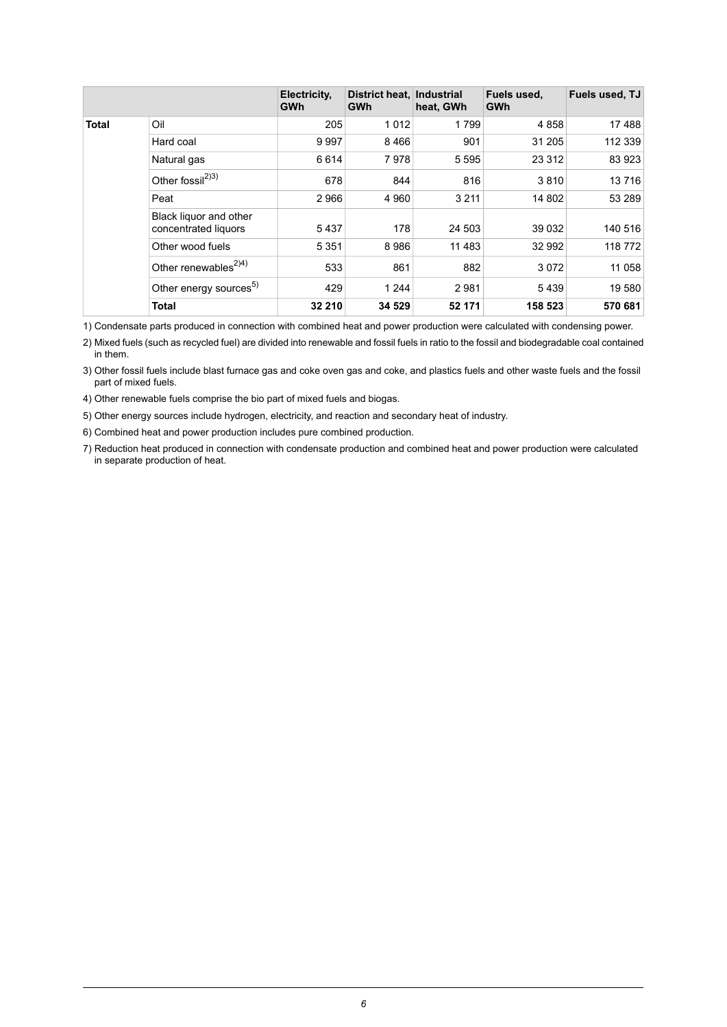|              |                                                | Electricity,<br><b>GWh</b> | District heat.<br>GWh | Industrial<br>heat, GWh | Fuels used,<br><b>GWh</b> | Fuels used, TJ |
|--------------|------------------------------------------------|----------------------------|-----------------------|-------------------------|---------------------------|----------------|
| <b>Total</b> | Oil                                            | 205                        | 1012                  | 1799                    | 4858                      | 17488          |
|              | Hard coal                                      | 9997                       | 8466                  | 901                     | 31 205                    | 112 339        |
|              | Natural gas                                    | 6614                       | 7978                  | 5 5 9 5                 | 23 3 12                   | 83 923         |
|              | Other fossil <sup>2)3)</sup>                   | 678                        | 844                   | 816                     | 3810                      | 13716          |
|              | Peat                                           | 2966                       | 4 9 6 0               | 3 2 1 1                 | 14 802                    | 53 289         |
|              | Black liquor and other<br>concentrated liquors | 5437                       | 178                   | 24 503                  | 39 0 32                   | 140 516        |
|              | Other wood fuels                               | 5 3 5 1                    | 8986                  | 11 483                  | 32 992                    | 118772         |
|              | Other renewables <sup><math>2)4)</math></sup>  | 533                        | 861                   | 882                     | 3072                      | 11 058         |
|              | Other energy sources <sup>5)</sup>             | 429                        | 1 2 4 4               | 2981                    | 5439                      | 19580          |
|              | <b>Total</b>                                   | 32 210                     | 34 529                | 52 171                  | 158 523                   | 570 681        |

1) Condensate parts produced in connection with combined heat and power production were calculated with condensing power.

Mixed fuels (such as recycled fuel) are divided into renewable and fossil fuels in ratio to the fossil and biodegradable coal contained 2) in them.

Other fossil fuels include blast furnace gas and coke oven gas and coke, and plastics fuels and other waste fuels and the fossil 3) part of mixed fuels.

4) Other renewable fuels comprise the bio part of mixed fuels and biogas.

5) Other energy sources include hydrogen, electricity, and reaction and secondary heat of industry.

6) Combined heat and power production includes pure combined production.

7) Reduction heat produced in connection with condensate production and combined heat and power production were calculated in separate production of heat.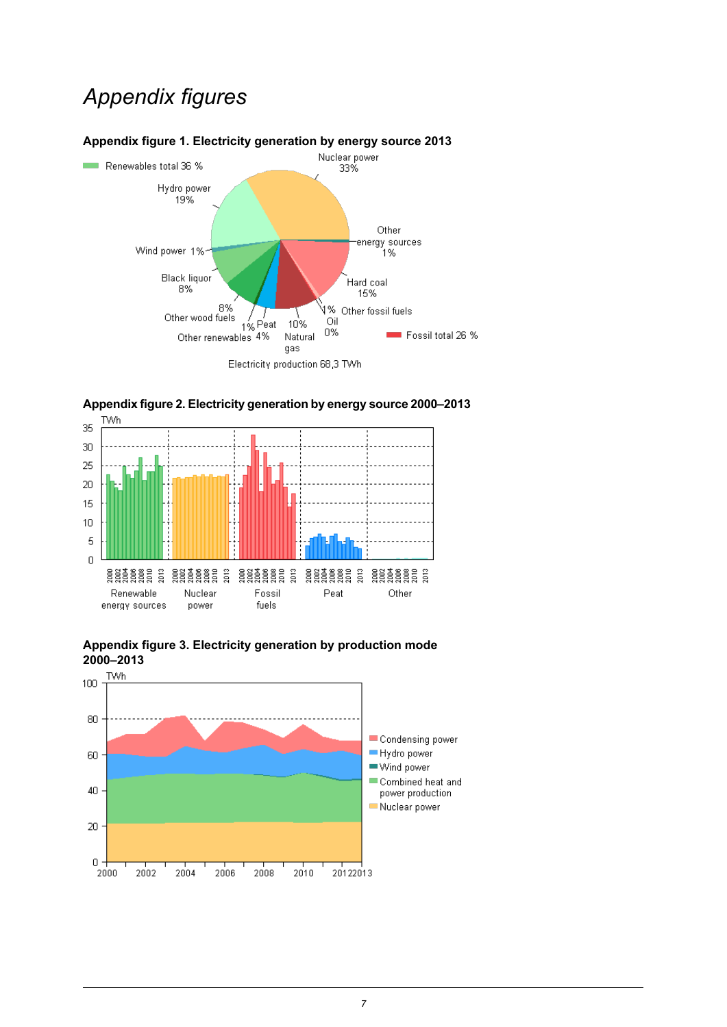## *Appendix figures*



### <span id="page-6-0"></span>**Appendix figure 1. Electricity generation by energy source 2013**



<span id="page-6-1"></span>

<span id="page-6-2"></span>

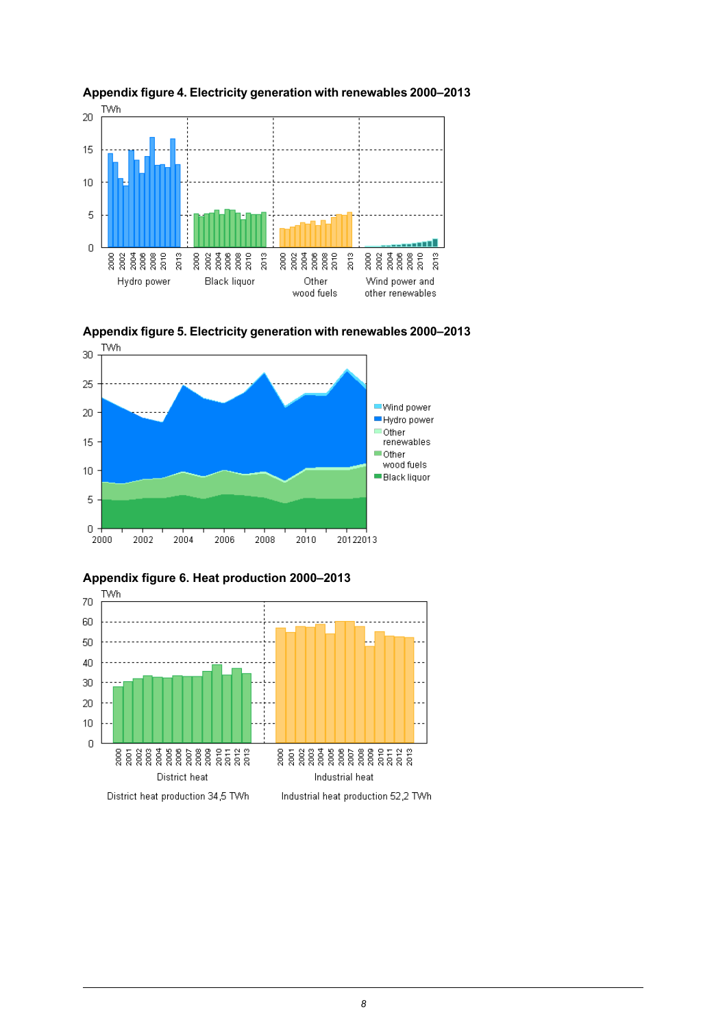

<span id="page-7-0"></span>



<span id="page-7-1"></span>



<span id="page-7-2"></span>**Appendix figure 6. Heat production 2000–2013**

 $\begin{array}{c} \n 0 \\ \n \end{array}$ 

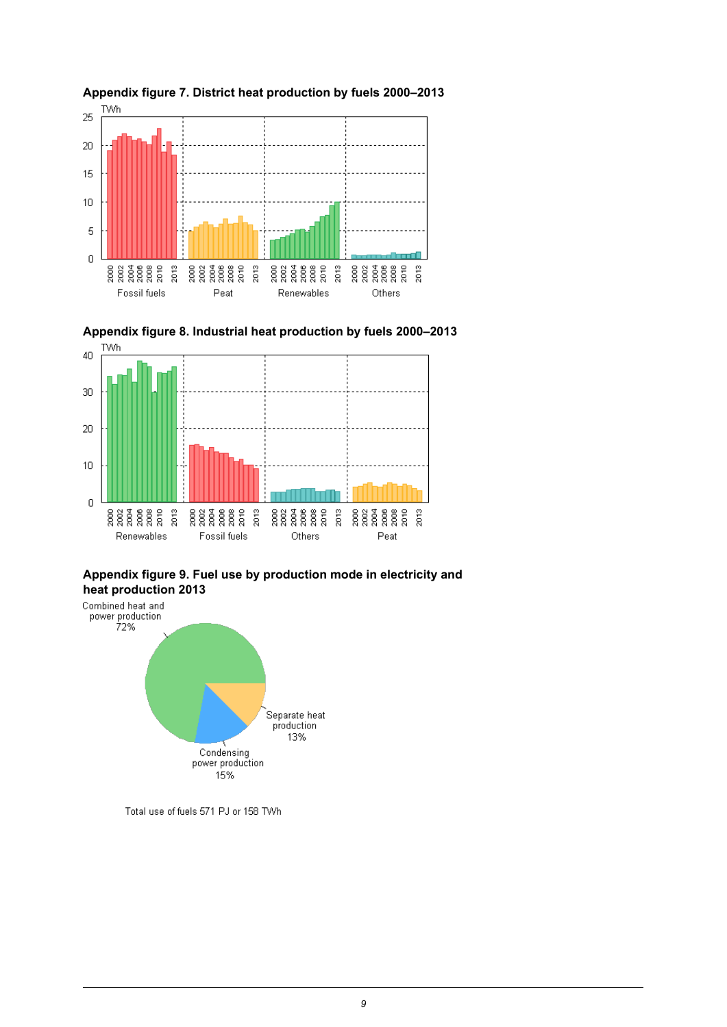

<span id="page-8-1"></span>

<span id="page-8-0"></span>**Appendix figure 7. District heat production by fuels 2000–2013**

<span id="page-8-2"></span>



Total use of fuels 571 PJ or 158 TWh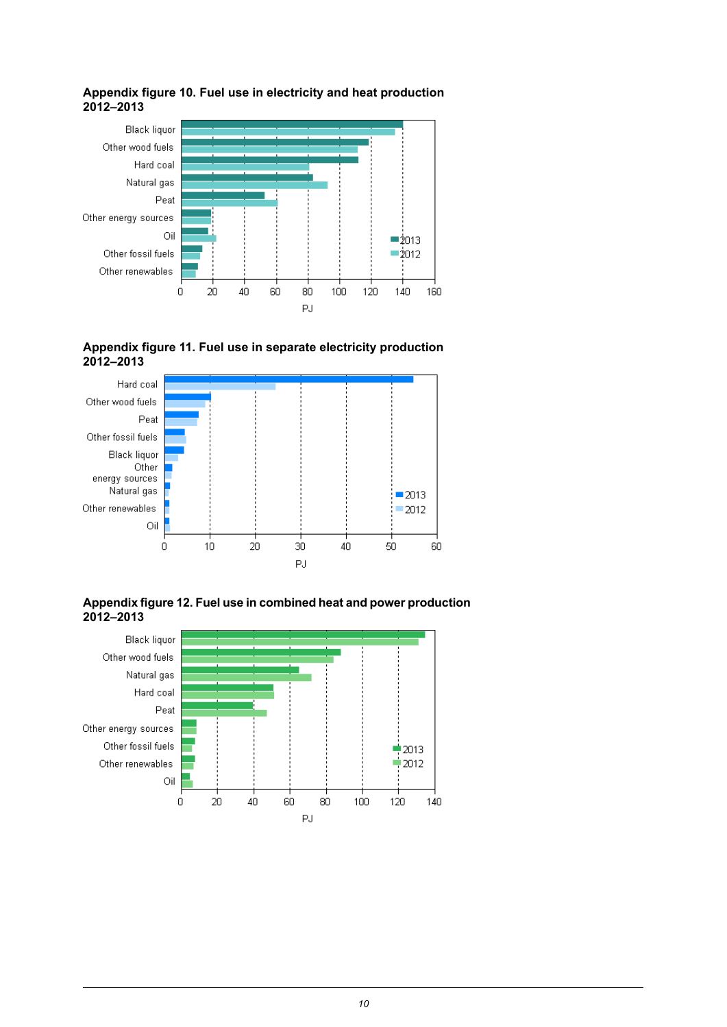

#### <span id="page-9-0"></span>**Appendix figure 10. Fuel use in electricity and heat production 2012–2013**

<span id="page-9-1"></span>



<span id="page-9-2"></span>**Appendixfigure12. Fuel usein combined heatand power production 2012–2013**

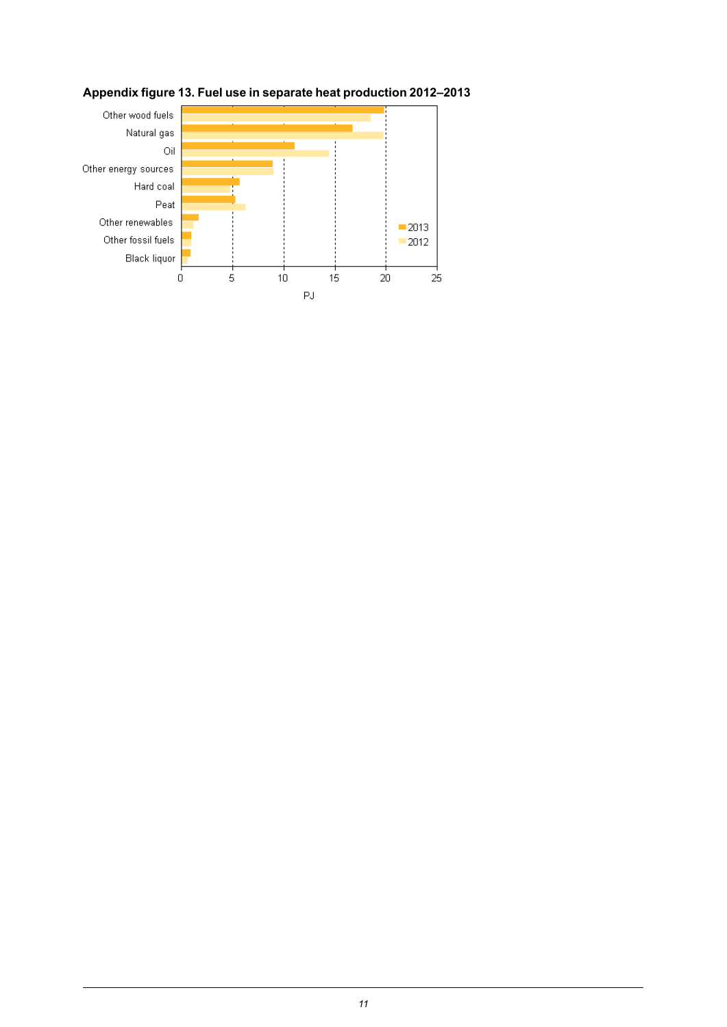

### <span id="page-10-0"></span>**Appendix figure 13. Fuel use in separate heat production 2012–2013**